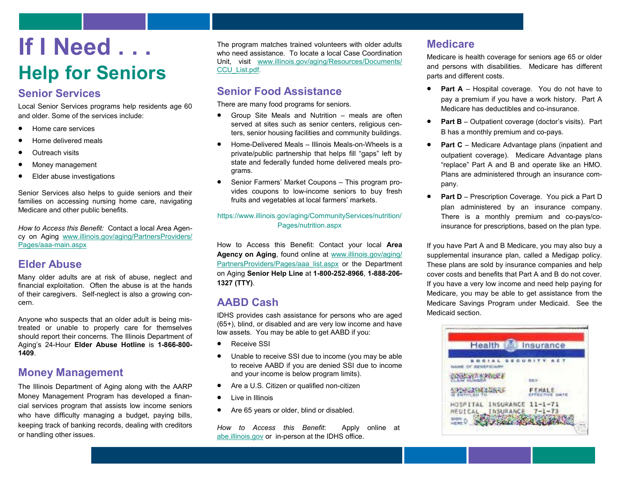# **If I Need . . . Help for Seniors**

### **Senior Services**

Local Senior Services programs help residents age 60 and older. Some of the services include:

- Home care services
- Home delivered meals
- Outreach visits
- Money management
- Elder abuse investigations

Senior Services also helps to guide seniors and their families on accessing nursing home care, navigating Medicare and other public benefits.

*How to Access this Benefit:* Contact a local Area Agency on Aging [www.illinois.gov/aging/PartnersProviders/](http://www.illinois.gov/aging/PartnersProviders/Pages/aaa-main.aspx) Pages/aaa-[main.aspx](http://www.illinois.gov/aging/PartnersProviders/Pages/aaa-main.aspx) 

### **Elder Abuse**

Many older adults are at risk of abuse, neglect and financial exploitation. Often the abuse is at the hands of their caregivers. Self-neglect is also a growing concern.

Anyone who suspects that an older adult is being mistreated or unable to properly care for themselves should report their concerns. The Illinois Department of Aging's 24-Hour **Elder Abuse Hotline** is **1-866-800- 1409**.

### **Money Management**

The Illinois Department of Aging along with the AARP Money Management Program has developed a financial services program that assists low income seniors who have difficulty managing a budget, paying bills, keeping track of banking records, dealing with creditors or handling other issues.

The program matches trained volunteers with older adults who need assistance. To locate a local Case Coordination Unit, visit [www.illinois.gov/aging/Resources/Documents/](http://www.illinois.gov/aging/Resources/Documents/CCU_List.pdf) [CCU\\_List.pdf.](http://www.illinois.gov/aging/Resources/Documents/CCU_List.pdf)

# **Senior Food Assistance**

There are many food programs for seniors.

- Group Site Meals and Nutrition meals are often served at sites such as senior centers, religious centers, senior housing facilities and community buildings.
- Home-Delivered Meals Illinois Meals-on-Wheels is a private/public partnership that helps fill "gaps" left by state and federally funded home delivered meals programs.
- Senior Farmers' Market Coupons This program provides coupons to low-income seniors to buy fresh fruits and vegetables at local farmers' markets.

#### [https://www.illinois.gov/aging/CommunityServices/nutrition/](https://www.illinois.gov/aging/CommunityServices/nutrition/Pages/nutrition.aspx) [Pages/nutrition.aspx](https://www.illinois.gov/aging/CommunityServices/nutrition/Pages/nutrition.aspx)

How to Access this Benefit: Contact your local **Area Agency on Aging**, found online at [www.illinois.gov/aging/](http://www.illinois.gov/aging/PartnersProviders/Pages/aaa_list.aspx) [PartnersProviders/Pages/aaa\\_list.aspx o](http://www.illinois.gov/aging/PartnersProviders/Pages/aaa_list.aspx)r the Department on Aging **Senior Help Line** at **1-800-252-8966**, **1-888-206- 1327 (TTY)**.

# **AABD Cash**

IDHS provides cash assistance for persons who are aged (65+), blind, or disabled and are very low income and have low assets. You may be able to get AABD if you:

- Receive SSI
- Unable to receive SSI due to income (you may be able to receive AABD if you are denied SSI due to income and your income is below program limits).
- Are a U.S. Citizen or qualified non-citizen
- Live in Illinois
- Are 65 years or older, blind or disabled.

*How to Access this Benefit*: Apply online at [abe.illinois.gov o](https://abe.illinois.gov/abe/access/)r in-person at the IDHS office.

# **Medicare**

Medicare is health coverage for seniors age 65 or older and persons with disabilities. Medicare has different parts and different costs.

- **Part A** Hospital coverage. You do not have to pay a premium if you have a work history. Part A Medicare has deductibles and co-insurance.
- **Part B** Outpatient coverage (doctor's visits). Part B has a monthly premium and co-pays.
- **Part C** Medicare Advantage plans (inpatient and outpatient coverage). Medicare Advantage plans "replace" Part A and B and operate like an HMO. Plans are administered through an insurance company.
- **Part D** Prescription Coverage. You pick a Part D plan administered by an insurance company. There is a monthly premium and co-pays/coinsurance for prescriptions, based on the plan type.

If you have Part A and B Medicare, you may also buy a supplemental insurance plan, called a Medigap policy. These plans are sold by insurance companies and help cover costs and benefits that Part A and B do not cover. If you have a very low income and need help paying for Medicare, you may be able to get assistance from the Medicare Savings Program under Medicaid. See the Medicaid section.